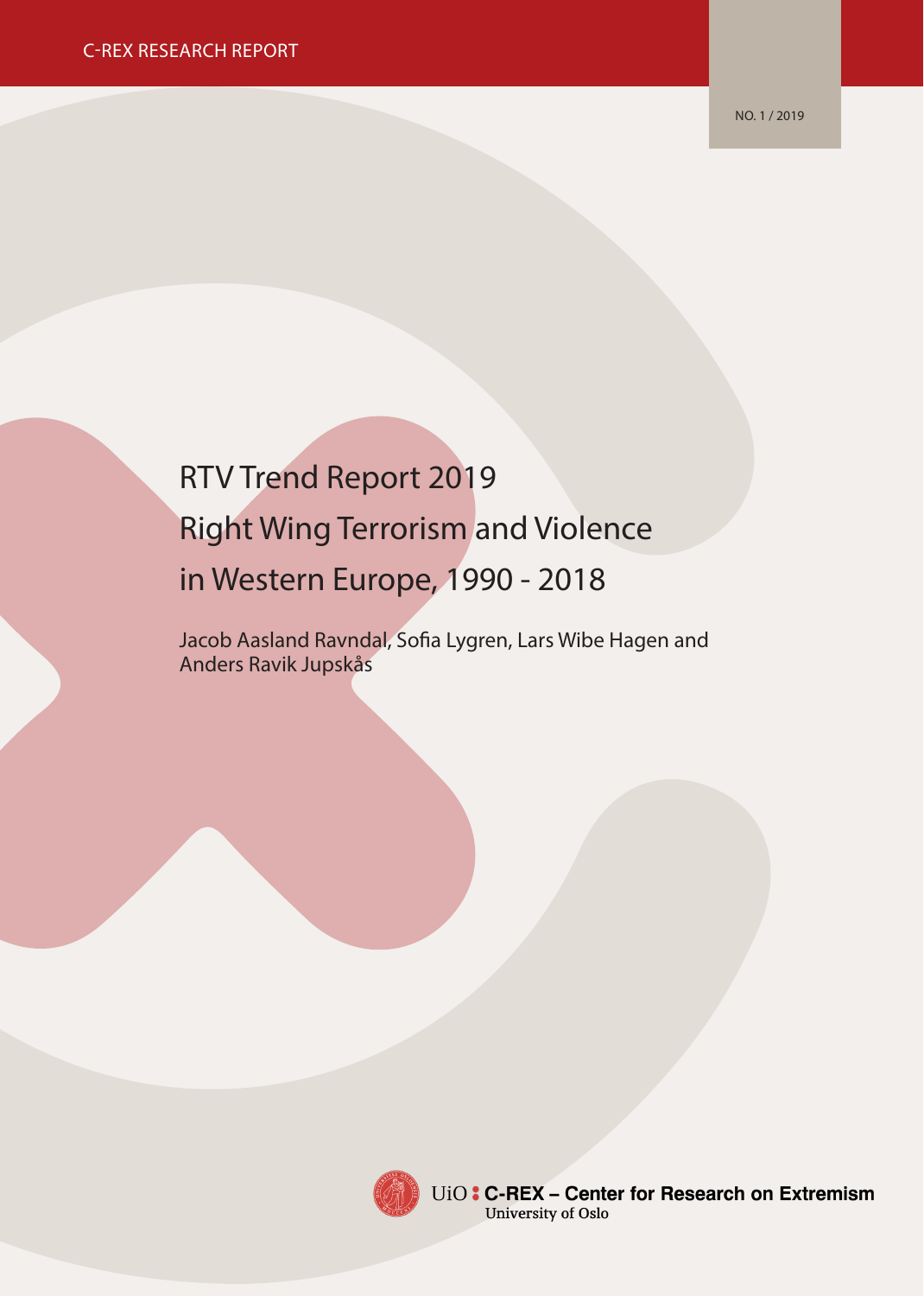NO. 1 / 2019

# RTV Trend Report 2019 Right Wing Terrorism and Violence in Western Europe, 1990 - 2018

Jacob Aasland Ravndal, Sofia Lygren, Lars Wibe Hagen and Anders Ravik Jupskås



UiO: C-REX - Center for Research on Extremism University of Oslo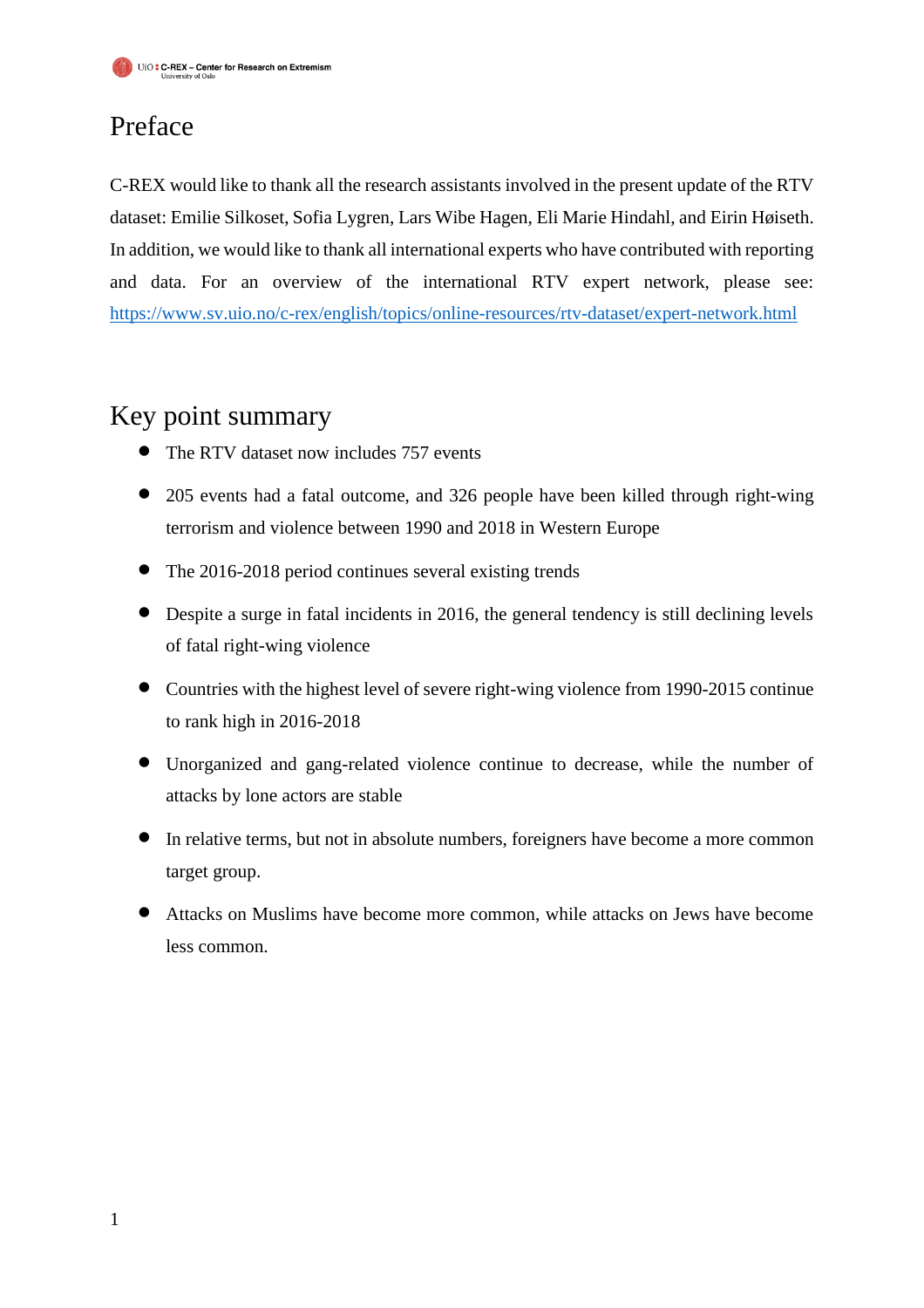# Preface

C-REX would like to thank all the research assistants involved in the present update of the RTV dataset: Emilie Silkoset, Sofia Lygren, Lars Wibe Hagen, Eli Marie Hindahl, and Eirin Høiseth. In addition, we would like to thank all international experts who have contributed with reporting and data. For an overview of the international RTV expert network, please see: <https://www.sv.uio.no/c-rex/english/topics/online-resources/rtv-dataset/expert-network.html>

## Key point summary

- The RTV dataset now includes 757 events
- 205 events had a fatal outcome, and 326 people have been killed through right-wing terrorism and violence between 1990 and 2018 in Western Europe
- The 2016-2018 period continues several existing trends
- Despite a surge in fatal incidents in 2016, the general tendency is still declining levels of fatal right-wing violence
- Countries with the highest level of severe right-wing violence from 1990-2015 continue to rank high in 2016-2018
- Unorganized and gang-related violence continue to decrease, while the number of attacks by lone actors are stable
- In relative terms, but not in absolute numbers, foreigners have become a more common target group.
- Attacks on Muslims have become more common, while attacks on Jews have become less common.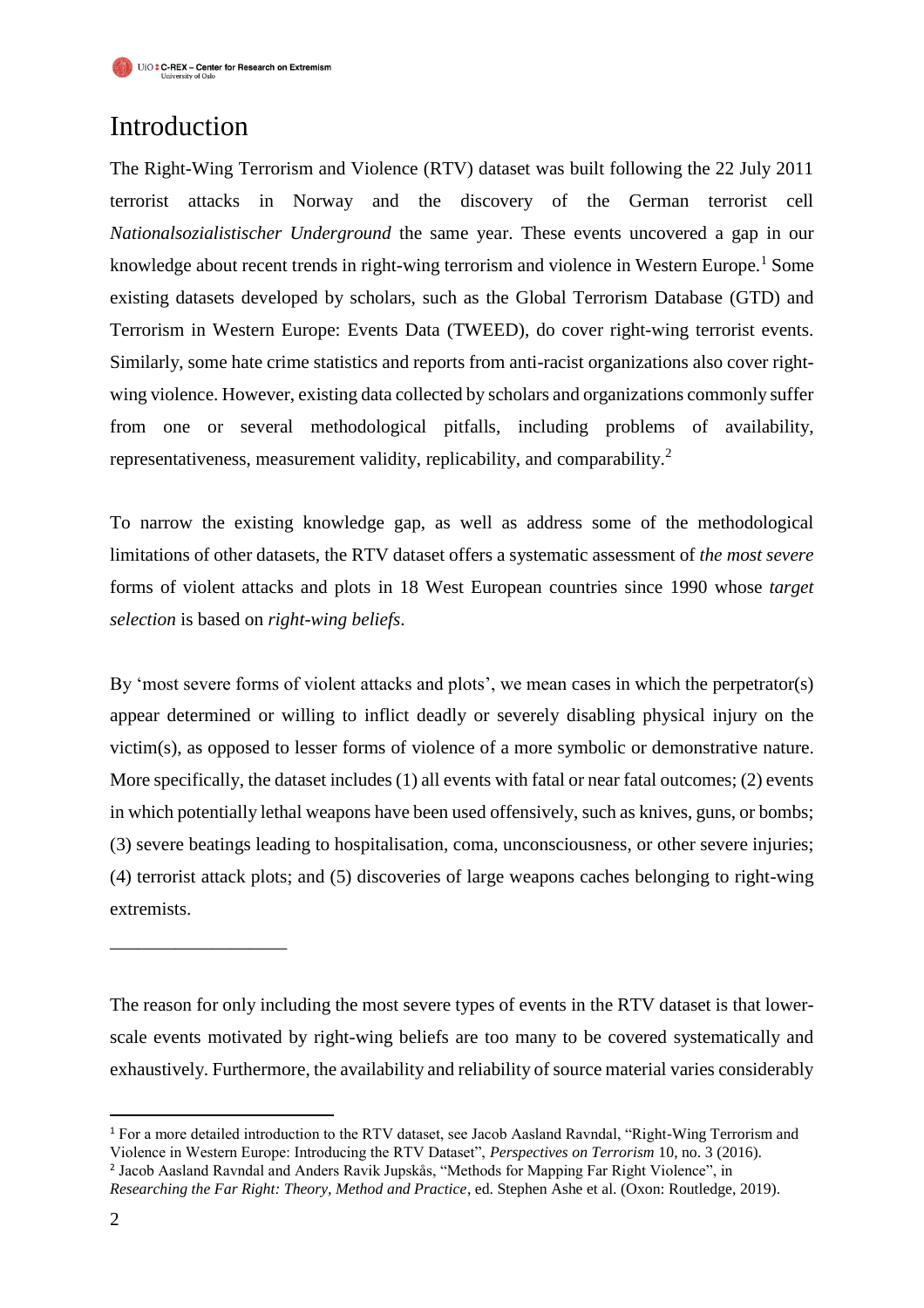## Introduction

The Right-Wing Terrorism and Violence (RTV) dataset was built following the 22 July 2011 terrorist attacks in Norway and the discovery of the German terrorist cell *Nationalsozialistischer Underground* the same year. These events uncovered a gap in our knowledge about recent trends in right-wing terrorism and violence in Western Europe.<sup>1</sup> Some existing datasets developed by scholars, such as the Global Terrorism Database (GTD) and Terrorism in Western Europe: Events Data (TWEED), do cover right-wing terrorist events. Similarly, some hate crime statistics and reports from anti-racist organizations also cover rightwing violence. However, existing data collected by scholars and organizations commonly suffer from one or several methodological pitfalls, including problems of availability, representativeness, measurement validity, replicability, and comparability.<sup>2</sup>

To narrow the existing knowledge gap, as well as address some of the methodological limitations of other datasets, the RTV dataset offers a systematic assessment of *the most severe* forms of violent attacks and plots in 18 West European countries since 1990 whose *target selection* is based on *right-wing beliefs*.

By 'most severe forms of violent attacks and plots', we mean cases in which the perpetrator(s) appear determined or willing to inflict deadly or severely disabling physical injury on the victim(s), as opposed to lesser forms of violence of a more symbolic or demonstrative nature. More specifically, the dataset includes (1) all events with fatal or near fatal outcomes; (2) events in which potentially lethal weapons have been used offensively, such as knives, guns, or bombs; (3) severe beatings leading to hospitalisation, coma, unconsciousness, or other severe injuries; (4) terrorist attack plots; and (5) discoveries of large weapons caches belonging to right-wing extremists.

The reason for only including the most severe types of events in the RTV dataset is that lowerscale events motivated by right-wing beliefs are too many to be covered systematically and exhaustively. Furthermore, the availability and reliability of source material varies considerably

 $\overline{a}$ 

\_\_\_\_\_\_\_\_\_\_\_\_\_\_\_\_\_\_\_

<sup>1</sup> For a more detailed introduction to the RTV dataset, see Jacob Aasland Ravndal, "Right-Wing Terrorism and Violence in Western Europe: Introducing the RTV Dataset", *Perspectives on Terrorism* 10, no. 3 (2016).

<sup>2</sup> Jacob Aasland Ravndal and Anders Ravik Jupskås, "Methods for Mapping Far Right Violence", in *Researching the Far Right: Theory, Method and Practice*, ed. Stephen Ashe et al. (Oxon: Routledge, 2019).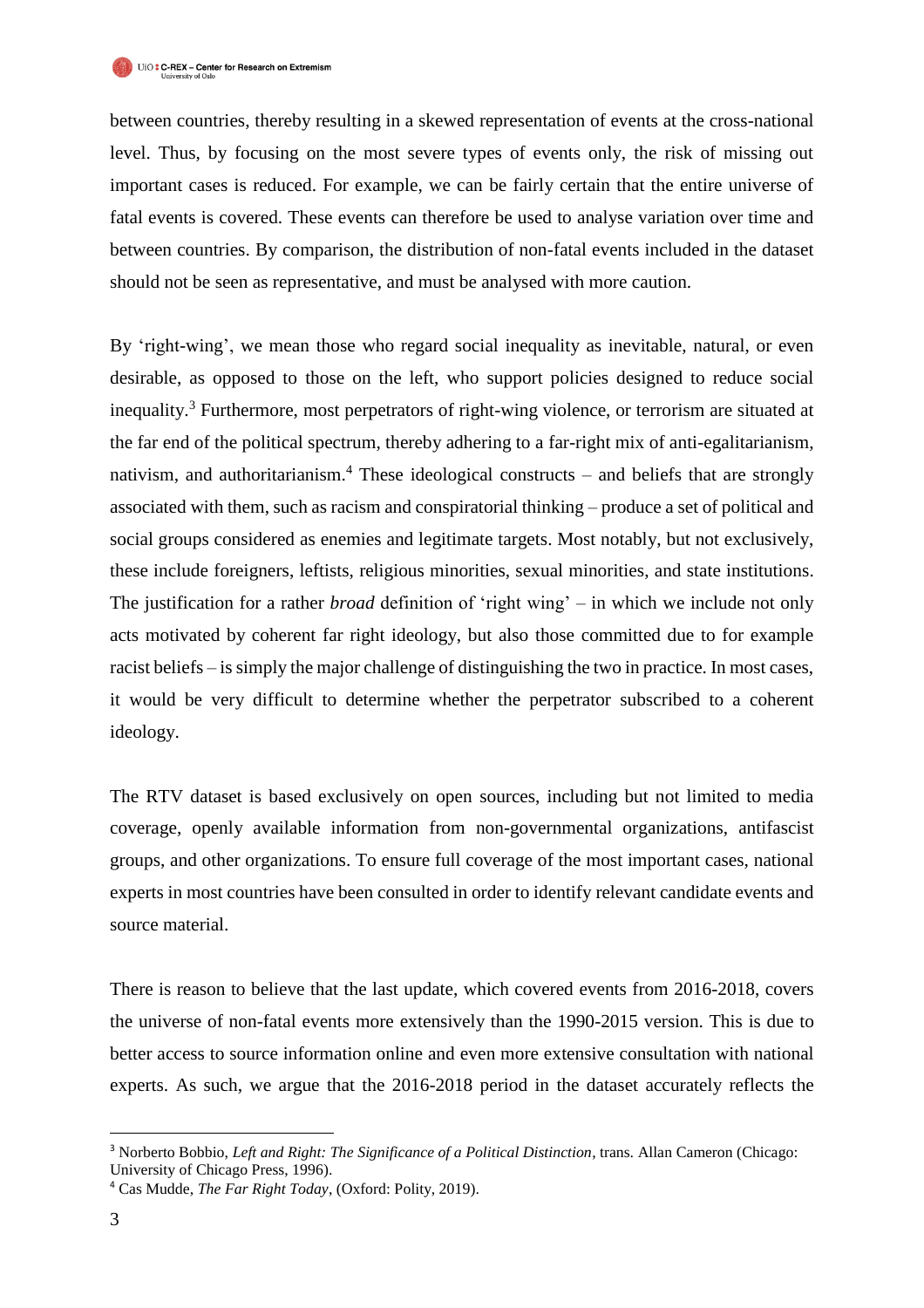between countries, thereby resulting in a skewed representation of events at the cross-national level. Thus, by focusing on the most severe types of events only, the risk of missing out important cases is reduced. For example, we can be fairly certain that the entire universe of fatal events is covered. These events can therefore be used to analyse variation over time and between countries. By comparison, the distribution of non-fatal events included in the dataset should not be seen as representative, and must be analysed with more caution.

By 'right-wing', we mean those who regard social inequality as inevitable, natural, or even desirable, as opposed to those on the left, who support policies designed to reduce social inequality.<sup>3</sup> Furthermore, most perpetrators of right-wing violence, or terrorism are situated at the far end of the political spectrum, thereby adhering to a far-right mix of anti-egalitarianism, nativism, and authoritarianism.<sup>4</sup> These ideological constructs – and beliefs that are strongly associated with them, such as racism and conspiratorial thinking – produce a set of political and social groups considered as enemies and legitimate targets. Most notably, but not exclusively, these include foreigners, leftists, religious minorities, sexual minorities, and state institutions. The justification for a rather *broad* definition of 'right wing' – in which we include not only acts motivated by coherent far right ideology, but also those committed due to for example racist beliefs – is simply the major challenge of distinguishing the two in practice. In most cases, it would be very difficult to determine whether the perpetrator subscribed to a coherent ideology.

The RTV dataset is based exclusively on open sources, including but not limited to media coverage, openly available information from non-governmental organizations, antifascist groups, and other organizations. To ensure full coverage of the most important cases, national experts in most countries have been consulted in order to identify relevant candidate events and source material.

There is reason to believe that the last update, which covered events from 2016-2018, covers the universe of non-fatal events more extensively than the 1990-2015 version. This is due to better access to source information online and even more extensive consultation with national experts. As such, we argue that the 2016-2018 period in the dataset accurately reflects the

j <sup>3</sup> Norberto Bobbio, *Left and Right: The Significance of a Political Distinction*, trans. Allan Cameron (Chicago: University of Chicago Press, 1996).

<sup>4</sup> Cas Mudde, *The Far Right Today*, (Oxford: Polity, 2019).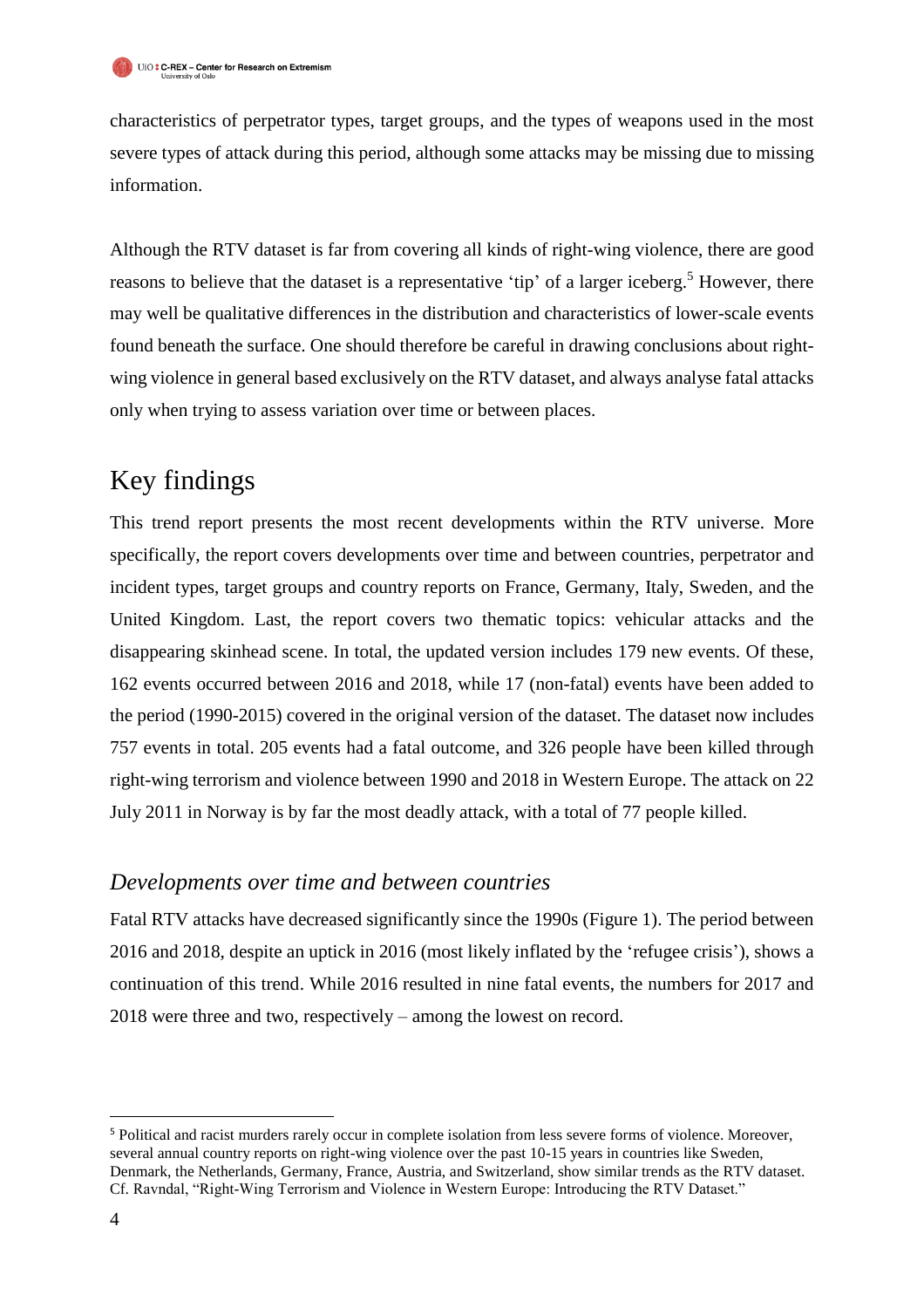characteristics of perpetrator types, target groups, and the types of weapons used in the most severe types of attack during this period, although some attacks may be missing due to missing information.

Although the RTV dataset is far from covering all kinds of right-wing violence, there are good reasons to believe that the dataset is a representative 'tip' of a larger iceberg.<sup>5</sup> However, there may well be qualitative differences in the distribution and characteristics of lower-scale events found beneath the surface. One should therefore be careful in drawing conclusions about rightwing violence in general based exclusively on the RTV dataset, and always analyse fatal attacks only when trying to assess variation over time or between places.

# Key findings

This trend report presents the most recent developments within the RTV universe. More specifically, the report covers developments over time and between countries, perpetrator and incident types, target groups and country reports on France, Germany, Italy, Sweden, and the United Kingdom. Last, the report covers two thematic topics: vehicular attacks and the disappearing skinhead scene. In total, the updated version includes 179 new events. Of these, 162 events occurred between 2016 and 2018, while 17 (non-fatal) events have been added to the period (1990-2015) covered in the original version of the dataset. The dataset now includes 757 events in total. 205 events had a fatal outcome, and 326 people have been killed through right-wing terrorism and violence between 1990 and 2018 in Western Europe. The attack on 22 July 2011 in Norway is by far the most deadly attack, with a total of 77 people killed.

#### *Developments over time and between countries*

Fatal RTV attacks have decreased significantly since the 1990s (Figure 1). The period between 2016 and 2018, despite an uptick in 2016 (most likely inflated by the 'refugee crisis'), shows a continuation of this trend. While 2016 resulted in nine fatal events, the numbers for 2017 and 2018 were three and two, respectively – among the lowest on record.

 $\overline{a}$ 

<sup>5</sup> Political and racist murders rarely occur in complete isolation from less severe forms of violence. Moreover, several annual country reports on right-wing violence over the past 10-15 years in countries like Sweden, Denmark, the Netherlands, Germany, France, Austria, and Switzerland, show similar trends as the RTV dataset. Cf. Ravndal, "Right-Wing Terrorism and Violence in Western Europe: Introducing the RTV Dataset."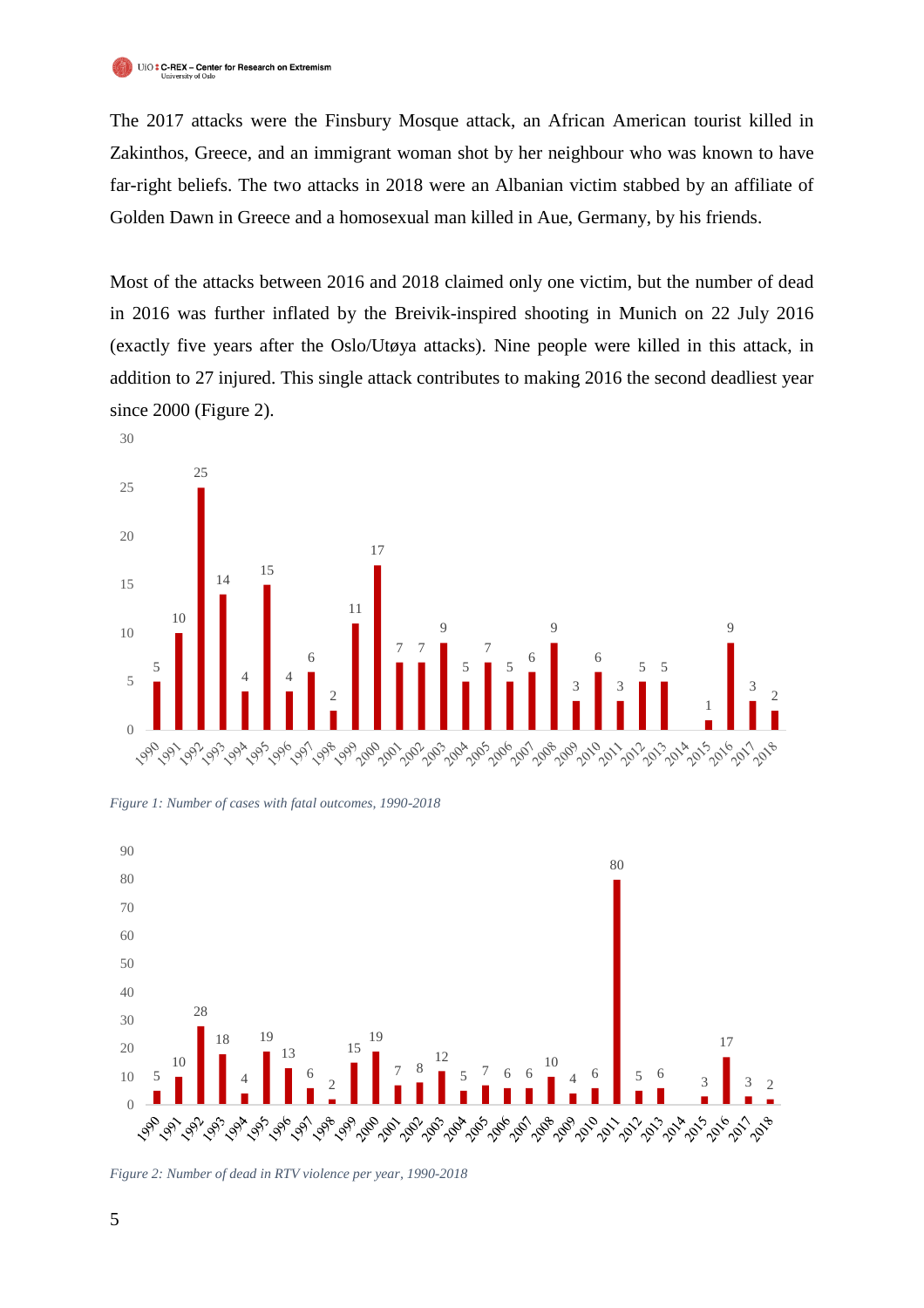The 2017 attacks were the Finsbury Mosque attack, an African American tourist killed in Zakinthos, Greece, and an immigrant woman shot by her neighbour who was known to have far-right beliefs. The two attacks in 2018 were an Albanian victim stabbed by an affiliate of Golden Dawn in Greece and a homosexual man killed in Aue, Germany, by his friends.

Most of the attacks between 2016 and 2018 claimed only one victim, but the number of dead in 2016 was further inflated by the Breivik-inspired shooting in Munich on 22 July 2016 (exactly five years after the Oslo/Utøya attacks). Nine people were killed in this attack, in addition to 27 injured. This single attack contributes to making 2016 the second deadliest year since 2000 (Figure 2).



*Figure 1: Number of cases with fatal outcomes, 1990-2018*



*Figure 2: Number of dead in RTV violence per year, 1990-2018*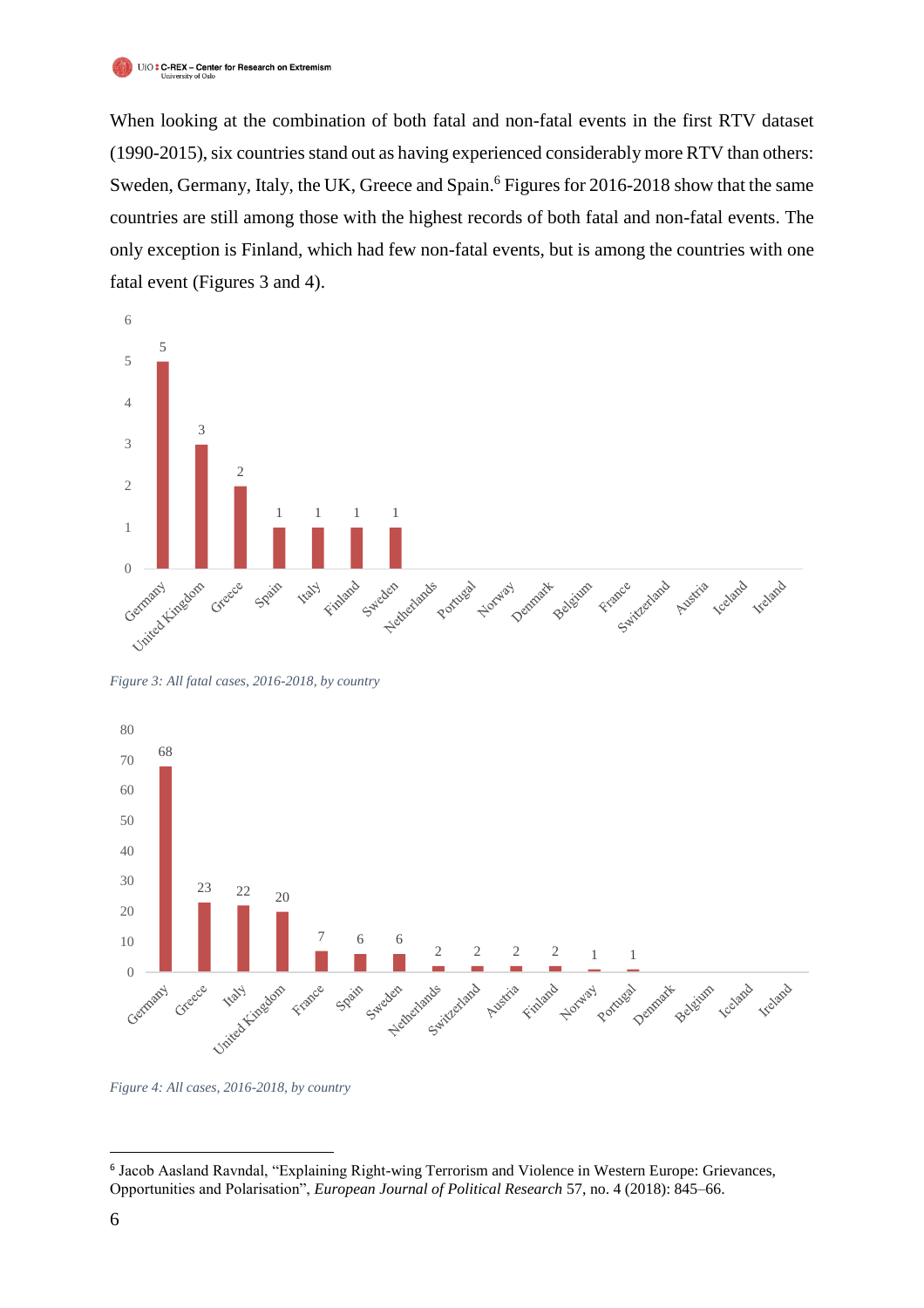When looking at the combination of both fatal and non-fatal events in the first RTV dataset (1990-2015), six countries stand out as having experienced considerably more RTV than others: Sweden, Germany, Italy, the UK, Greece and Spain. <sup>6</sup> Figures for 2016-2018 show that the same countries are still among those with the highest records of both fatal and non-fatal events. The only exception is Finland, which had few non-fatal events, but is among the countries with one fatal event (Figures 3 and 4).



*Figure 3: All fatal cases, 2016-2018, by country*



*Figure 4: All cases, 2016-2018, by country*

 $\overline{a}$ 

 Jacob Aasland Ravndal, "Explaining Right-wing Terrorism and Violence in Western Europe: Grievances, Opportunities and Polarisation", *European Journal of Political Research* 57, no. 4 (2018): 845–66.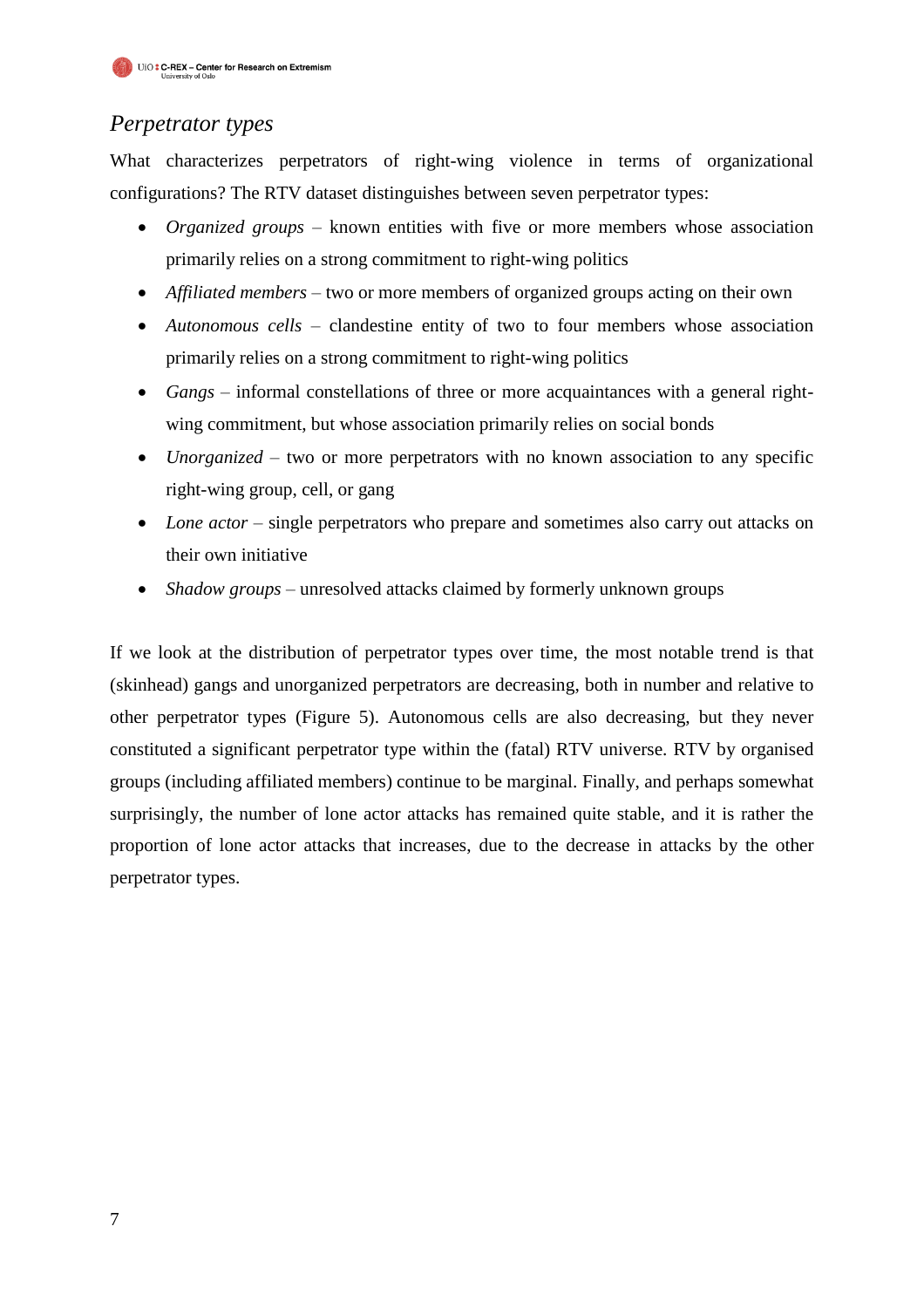## *Perpetrator types*

What characterizes perpetrators of right-wing violence in terms of organizational configurations? The RTV dataset distinguishes between seven perpetrator types:

- *Organized groups* known entities with five or more members whose association primarily relies on a strong commitment to right-wing politics
- *Affiliated members*  two or more members of organized groups acting on their own
- *Autonomous cells* clandestine entity of two to four members whose association primarily relies on a strong commitment to right-wing politics
- *Gangs* informal constellations of three or more acquaintances with a general rightwing commitment, but whose association primarily relies on social bonds
- *Unorganized* two or more perpetrators with no known association to any specific right-wing group, cell, or gang
- *Lone actor* single perpetrators who prepare and sometimes also carry out attacks on their own initiative
- *Shadow groups* unresolved attacks claimed by formerly unknown groups

If we look at the distribution of perpetrator types over time, the most notable trend is that (skinhead) gangs and unorganized perpetrators are decreasing, both in number and relative to other perpetrator types (Figure 5). Autonomous cells are also decreasing, but they never constituted a significant perpetrator type within the (fatal) RTV universe. RTV by organised groups (including affiliated members) continue to be marginal. Finally, and perhaps somewhat surprisingly, the number of lone actor attacks has remained quite stable, and it is rather the proportion of lone actor attacks that increases, due to the decrease in attacks by the other perpetrator types.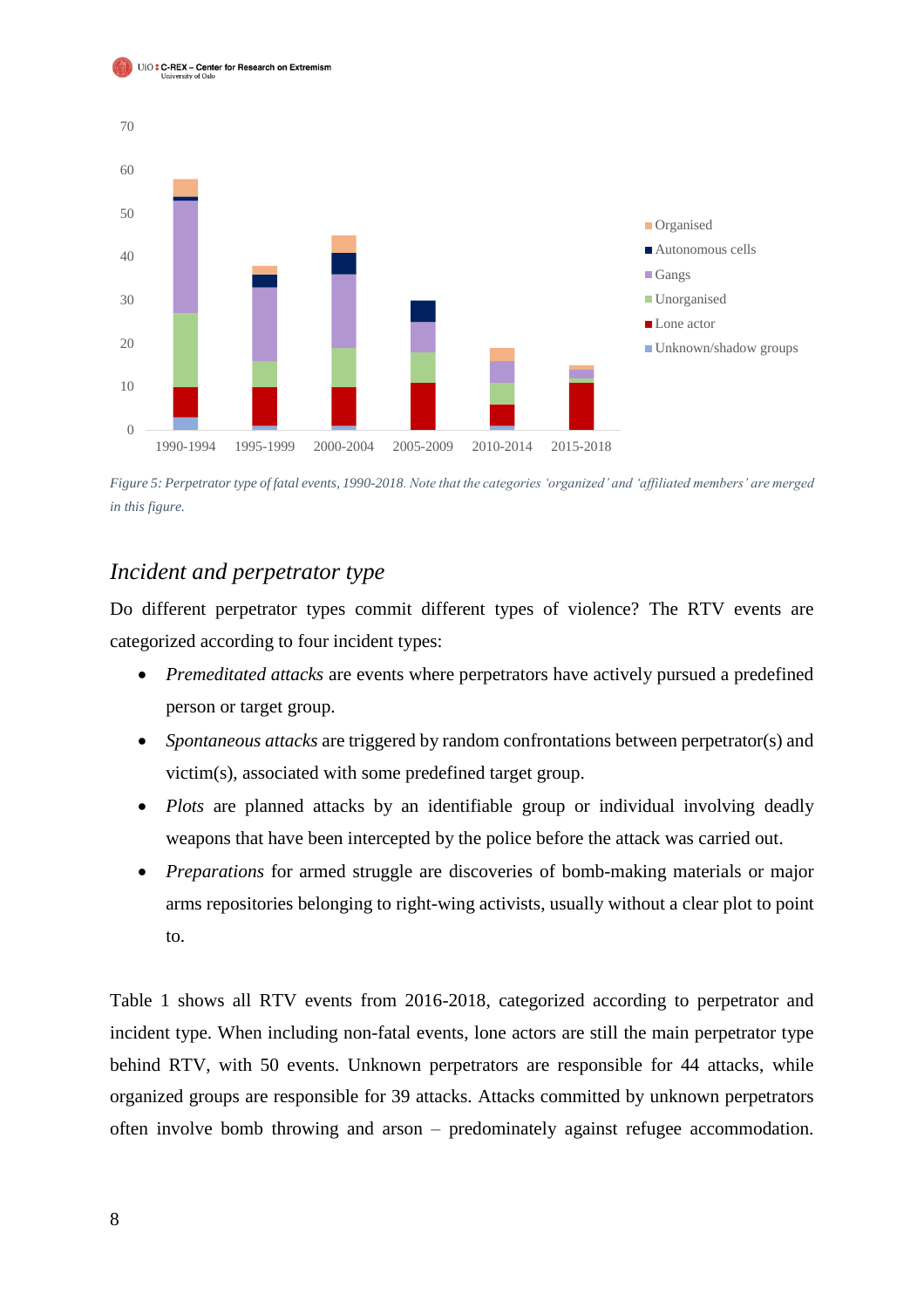



*Figure 5: Perpetrator type of fatal events, 1990-2018. Note that the categories 'organized' and 'affiliated members' are merged in this figure.*

#### *Incident and perpetrator type*

Do different perpetrator types commit different types of violence? The RTV events are categorized according to four incident types:

- *Premeditated attacks* are events where perpetrators have actively pursued a predefined person or target group.
- *Spontaneous attacks* are triggered by random confrontations between perpetrator(s) and victim(s), associated with some predefined target group.
- *Plots* are planned attacks by an identifiable group or individual involving deadly weapons that have been intercepted by the police before the attack was carried out.
- *Preparations* for armed struggle are discoveries of bomb-making materials or major arms repositories belonging to right-wing activists, usually without a clear plot to point to.

Table 1 shows all RTV events from 2016-2018, categorized according to perpetrator and incident type. When including non-fatal events, lone actors are still the main perpetrator type behind RTV, with 50 events. Unknown perpetrators are responsible for 44 attacks, while organized groups are responsible for 39 attacks. Attacks committed by unknown perpetrators often involve bomb throwing and arson – predominately against refugee accommodation.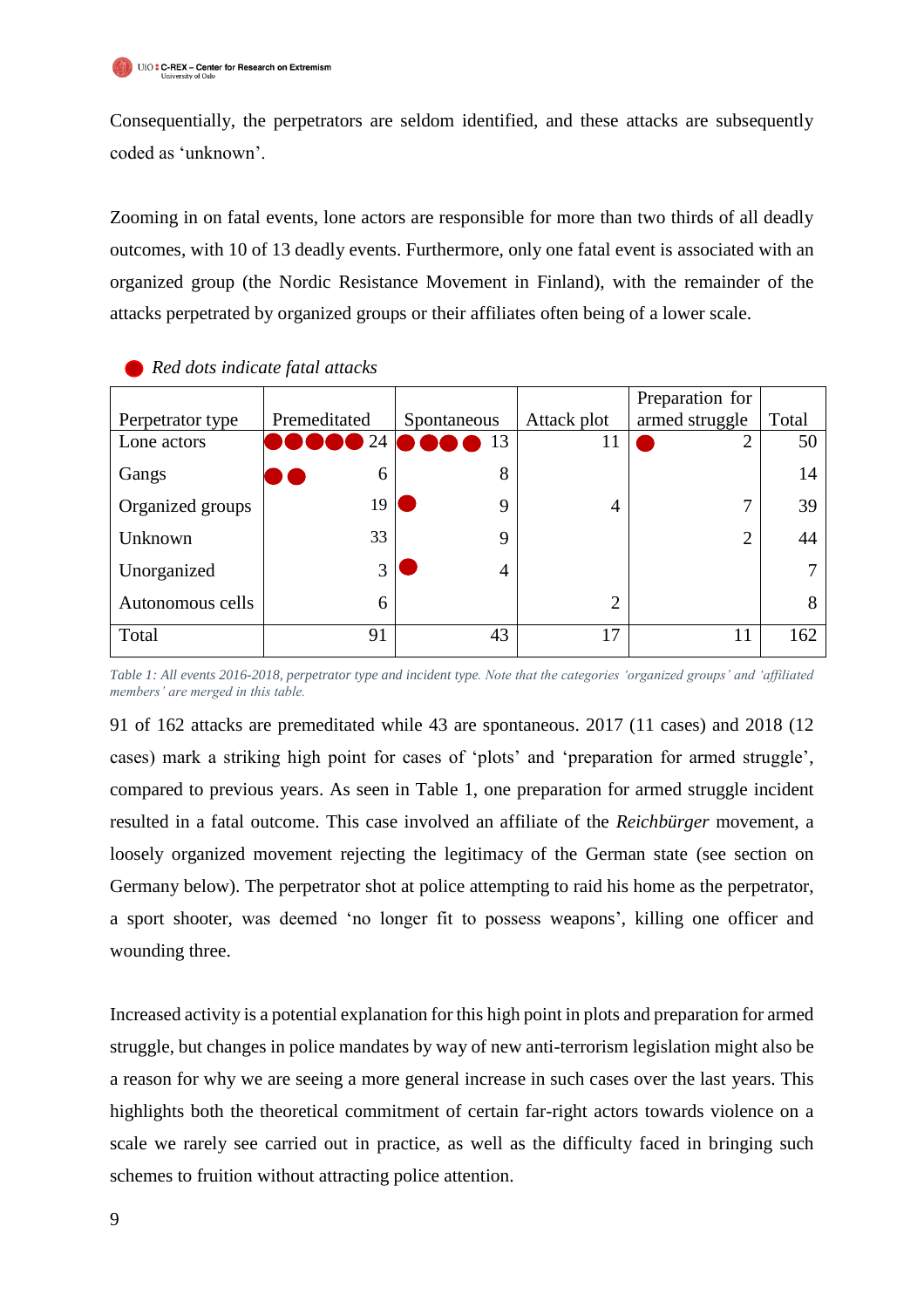Consequentially, the perpetrators are seldom identified, and these attacks are subsequently coded as 'unknown'.

Zooming in on fatal events, lone actors are responsible for more than two thirds of all deadly outcomes, with 10 of 13 deadly events. Furthermore, only one fatal event is associated with an organized group (the Nordic Resistance Movement in Finland), with the remainder of the attacks perpetrated by organized groups or their affiliates often being of a lower scale.

|                  |              |             |                | Preparation for |       |
|------------------|--------------|-------------|----------------|-----------------|-------|
| Perpetrator type | Premeditated | Spontaneous | Attack plot    | armed struggle  | Total |
| Lone actors      | 24           | 13          | 11             | っ               | 50    |
| Gangs            | 6            | 8           |                |                 | 14    |
| Organized groups | 19           | $\mathbf Q$ | 4              | 7               | 39    |
| Unknown          | 33           | 9           |                | $\overline{2}$  | 44    |
| Unorganized      | 3            | 4           |                |                 |       |
| Autonomous cells | 6            |             | $\overline{2}$ |                 | 8     |
| Total            | 91           | 43          | 17             | 11              | 162   |

 *Red dots indicate fatal attacks*

*Table 1: All events 2016-2018, perpetrator type and incident type. Note that the categories 'organized groups' and 'affiliated members' are merged in this table.*

91 of 162 attacks are premeditated while 43 are spontaneous. 2017 (11 cases) and 2018 (12 cases) mark a striking high point for cases of 'plots' and 'preparation for armed struggle', compared to previous years. As seen in Table 1, one preparation for armed struggle incident resulted in a fatal outcome. This case involved an affiliate of the *Reichbürger* movement, a loosely organized movement rejecting the legitimacy of the German state (see section on Germany below). The perpetrator shot at police attempting to raid his home as the perpetrator, a sport shooter, was deemed 'no longer fit to possess weapons', killing one officer and wounding three.

Increased activity is a potential explanation for this high point in plots and preparation for armed struggle, but changes in police mandates by way of new anti-terrorism legislation might also be a reason for why we are seeing a more general increase in such cases over the last years. This highlights both the theoretical commitment of certain far-right actors towards violence on a scale we rarely see carried out in practice, as well as the difficulty faced in bringing such schemes to fruition without attracting police attention.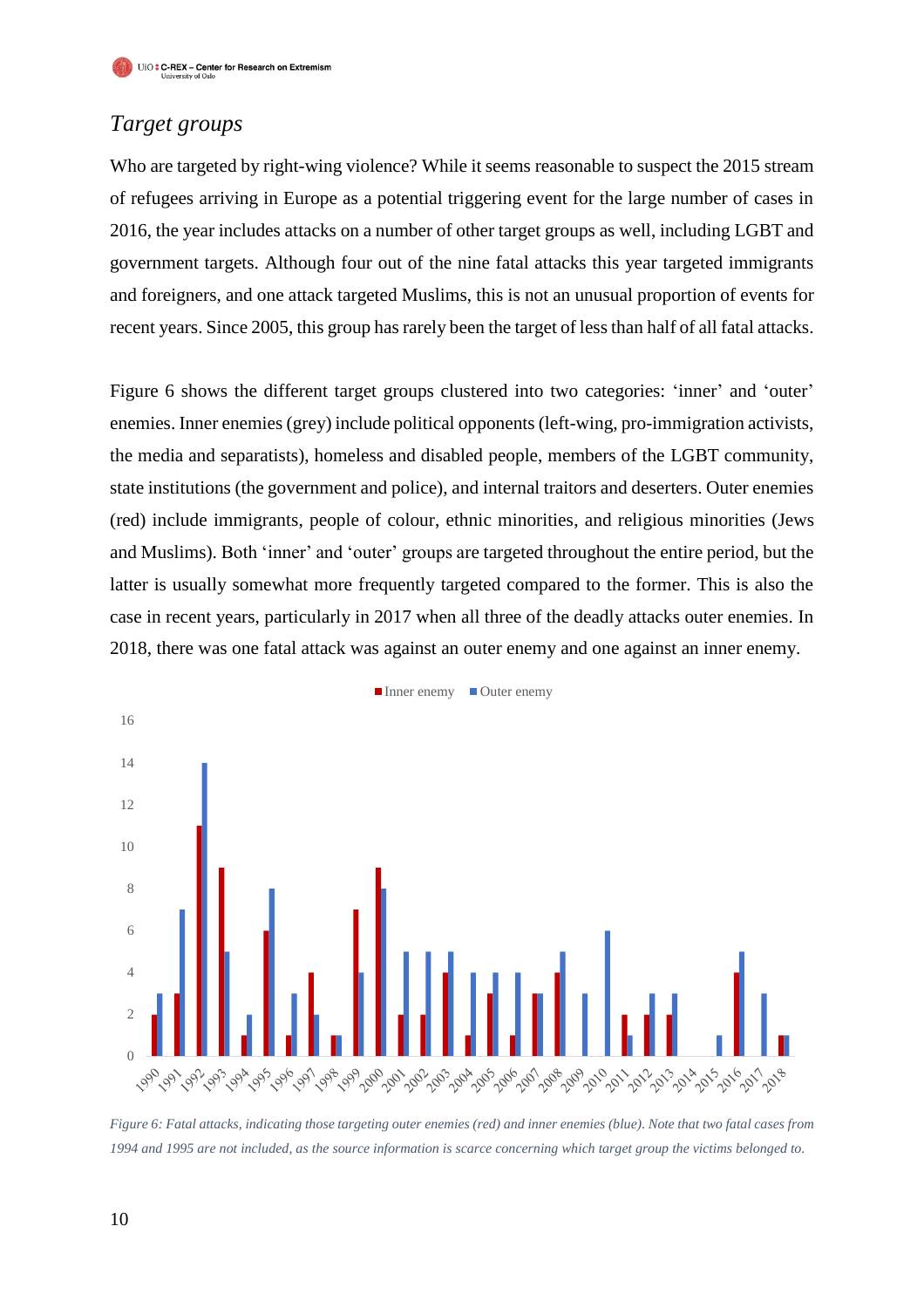### *Target groups*

Who are targeted by right-wing violence? While it seems reasonable to suspect the 2015 stream of refugees arriving in Europe as a potential triggering event for the large number of cases in 2016, the year includes attacks on a number of other target groups as well, including LGBT and government targets. Although four out of the nine fatal attacks this year targeted immigrants and foreigners, and one attack targeted Muslims, this is not an unusual proportion of events for recent years. Since 2005, this group has rarely been the target of less than half of all fatal attacks.

Figure 6 shows the different target groups clustered into two categories: 'inner' and 'outer' enemies. Inner enemies (grey) include political opponents (left-wing, pro-immigration activists, the media and separatists), homeless and disabled people, members of the LGBT community, state institutions (the government and police), and internal traitors and deserters. Outer enemies (red) include immigrants, people of colour, ethnic minorities, and religious minorities (Jews and Muslims). Both 'inner' and 'outer' groups are targeted throughout the entire period, but the latter is usually somewhat more frequently targeted compared to the former. This is also the case in recent years, particularly in 2017 when all three of the deadly attacks outer enemies. In 2018, there was one fatal attack was against an outer enemy and one against an inner enemy.



*Figure 6: Fatal attacks, indicating those targeting outer enemies (red) and inner enemies (blue). Note that two fatal cases from 1994 and 1995 are not included, as the source information is scarce concerning which target group the victims belonged to.*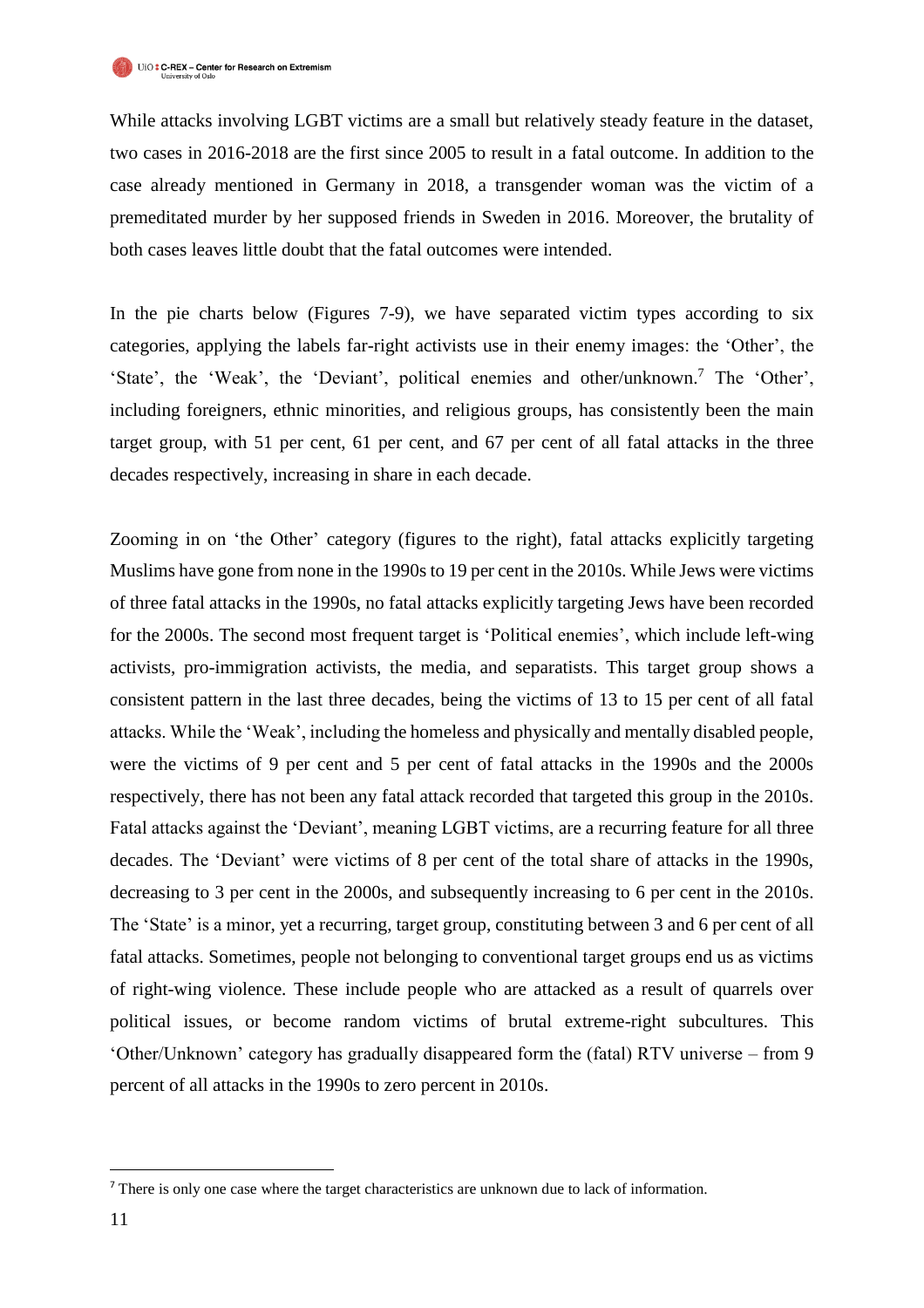While attacks involving LGBT victims are a small but relatively steady feature in the dataset, two cases in 2016-2018 are the first since 2005 to result in a fatal outcome. In addition to the case already mentioned in Germany in 2018, a transgender woman was the victim of a premeditated murder by her supposed friends in Sweden in 2016. Moreover, the brutality of both cases leaves little doubt that the fatal outcomes were intended.

In the pie charts below (Figures 7-9), we have separated victim types according to six categories, applying the labels far-right activists use in their enemy images: the 'Other', the 'State', the 'Weak', the 'Deviant', political enemies and other/unknown.<sup>7</sup> The 'Other', including foreigners, ethnic minorities, and religious groups, has consistently been the main target group, with 51 per cent, 61 per cent, and 67 per cent of all fatal attacks in the three decades respectively, increasing in share in each decade.

Zooming in on 'the Other' category (figures to the right), fatal attacks explicitly targeting Muslims have gone from none in the 1990s to 19 per cent in the 2010s. While Jews were victims of three fatal attacks in the 1990s, no fatal attacks explicitly targeting Jews have been recorded for the 2000s. The second most frequent target is 'Political enemies', which include left-wing activists, pro-immigration activists, the media, and separatists. This target group shows a consistent pattern in the last three decades, being the victims of 13 to 15 per cent of all fatal attacks. While the 'Weak', including the homeless and physically and mentally disabled people, were the victims of 9 per cent and 5 per cent of fatal attacks in the 1990s and the 2000s respectively, there has not been any fatal attack recorded that targeted this group in the 2010s. Fatal attacks against the 'Deviant', meaning LGBT victims, are a recurring feature for all three decades. The 'Deviant' were victims of 8 per cent of the total share of attacks in the 1990s, decreasing to 3 per cent in the 2000s, and subsequently increasing to 6 per cent in the 2010s. The 'State' is a minor, yet a recurring, target group, constituting between 3 and 6 per cent of all fatal attacks. Sometimes, people not belonging to conventional target groups end us as victims of right-wing violence. These include people who are attacked as a result of quarrels over political issues, or become random victims of brutal extreme-right subcultures. This 'Other/Unknown' category has gradually disappeared form the (fatal) RTV universe – from 9 percent of all attacks in the 1990s to zero percent in 2010s.

j

<sup>7</sup> There is only one case where the target characteristics are unknown due to lack of information.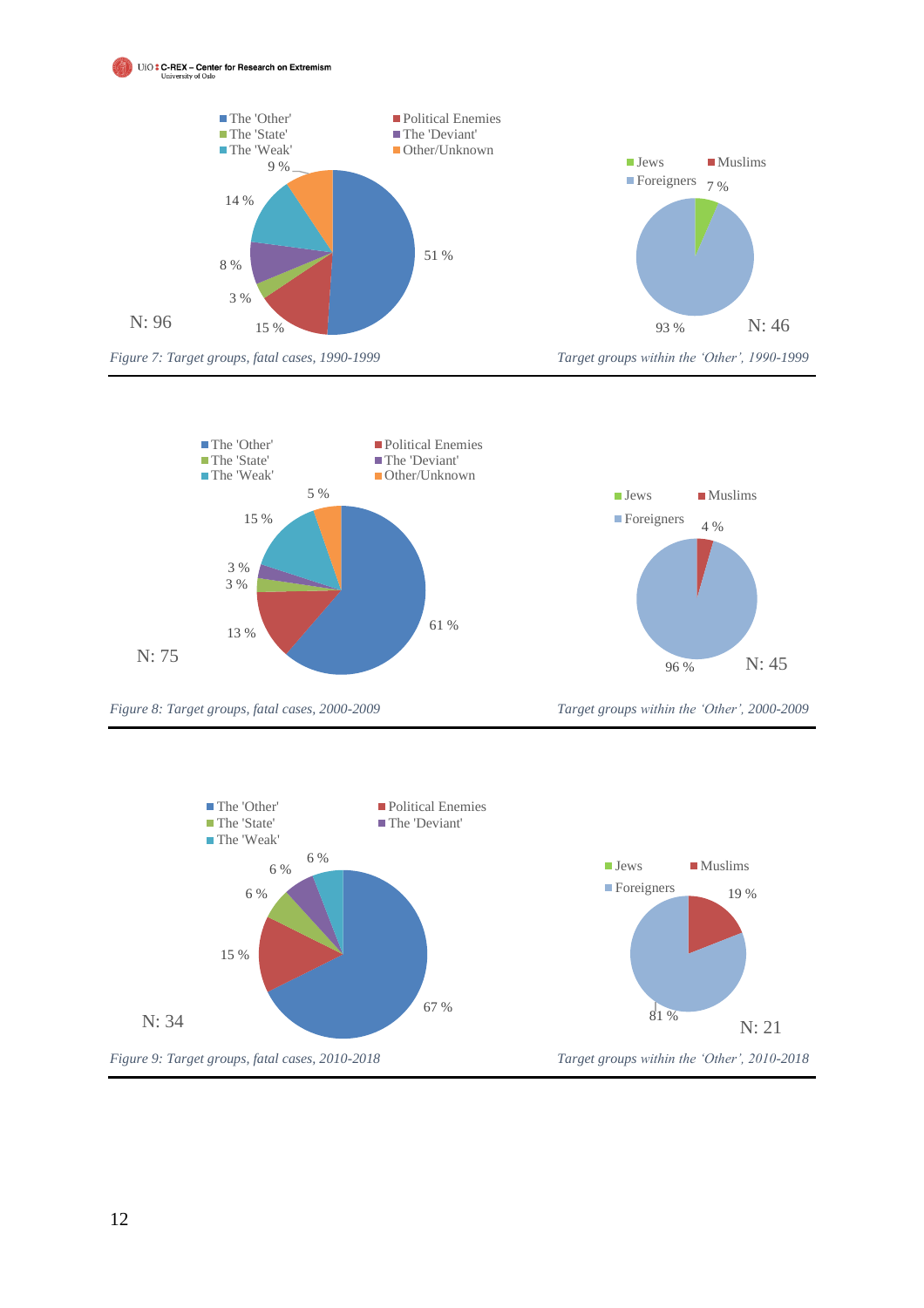





*Figure 8: Target groups, fatal cases, 2000-2009 Target groups within the 'Other', 2000-2009*



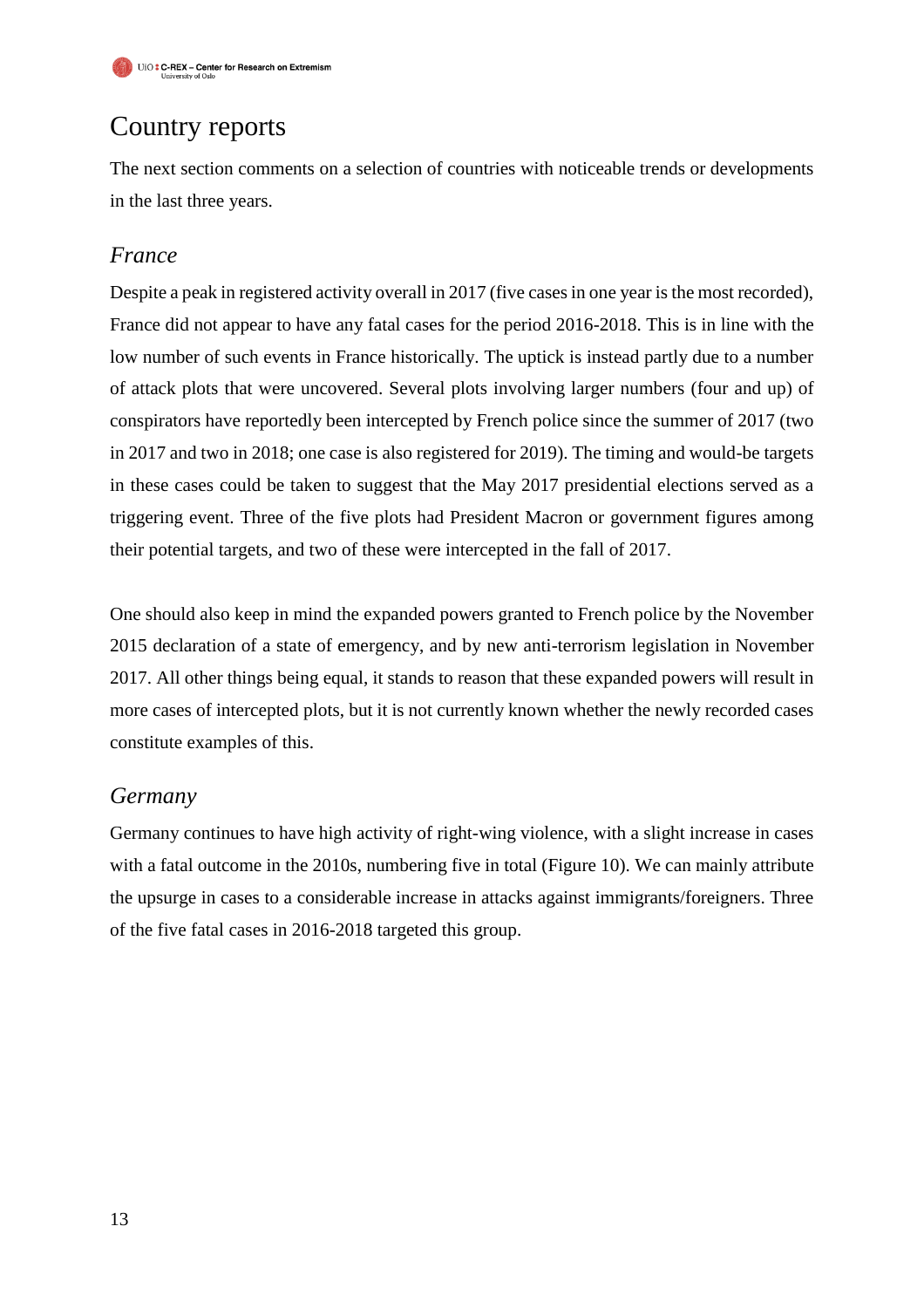# Country reports

The next section comments on a selection of countries with noticeable trends or developments in the last three years.

### *France*

Despite a peak in registered activity overall in 2017 (five cases in one year is the most recorded), France did not appear to have any fatal cases for the period 2016-2018. This is in line with the low number of such events in France historically. The uptick is instead partly due to a number of attack plots that were uncovered. Several plots involving larger numbers (four and up) of conspirators have reportedly been intercepted by French police since the summer of 2017 (two in 2017 and two in 2018; one case is also registered for 2019). The timing and would-be targets in these cases could be taken to suggest that the May 2017 presidential elections served as a triggering event. Three of the five plots had President Macron or government figures among their potential targets, and two of these were intercepted in the fall of 2017.

One should also keep in mind the expanded powers granted to French police by the November 2015 declaration of a state of emergency, and by new anti-terrorism legislation in November 2017. All other things being equal, it stands to reason that these expanded powers will result in more cases of intercepted plots, but it is not currently known whether the newly recorded cases constitute examples of this.

#### *Germany*

Germany continues to have high activity of right-wing violence, with a slight increase in cases with a fatal outcome in the 2010s, numbering five in total (Figure 10). We can mainly attribute the upsurge in cases to a considerable increase in attacks against immigrants/foreigners. Three of the five fatal cases in 2016-2018 targeted this group.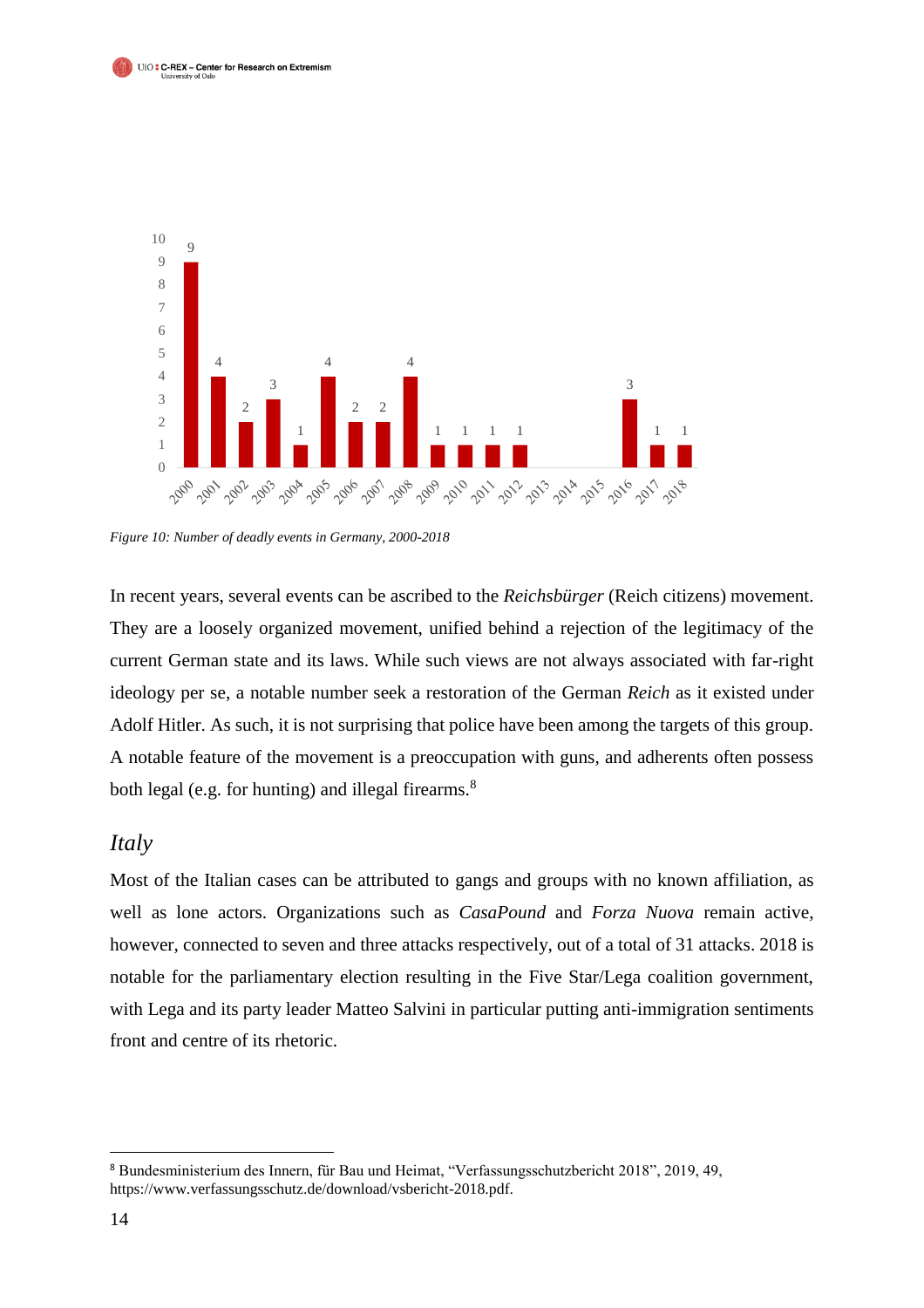



*Figure 10: Number of deadly events in Germany, 2000-2018*

In recent years, several events can be ascribed to the *Reichsbürger* (Reich citizens) movement. They are a loosely organized movement, unified behind a rejection of the legitimacy of the current German state and its laws. While such views are not always associated with far-right ideology per se, a notable number seek a restoration of the German *Reich* as it existed under Adolf Hitler. As such, it is not surprising that police have been among the targets of this group. A notable feature of the movement is a preoccupation with guns, and adherents often possess both legal (e.g. for hunting) and illegal firearms.<sup>8</sup>

#### *Italy*

Most of the Italian cases can be attributed to gangs and groups with no known affiliation, as well as lone actors. Organizations such as *CasaPound* and *Forza Nuova* remain active, however, connected to seven and three attacks respectively, out of a total of 31 attacks. 2018 is notable for the parliamentary election resulting in the Five Star/Lega coalition government, with Lega and its party leader Matteo Salvini in particular putting anti-immigration sentiments front and centre of its rhetoric.

 $\overline{a}$ 

<sup>8</sup> Bundesministerium des Innern, für Bau und Heimat, "Verfassungsschutzbericht 2018", 2019, 49, https://www.verfassungsschutz.de/download/vsbericht-2018.pdf.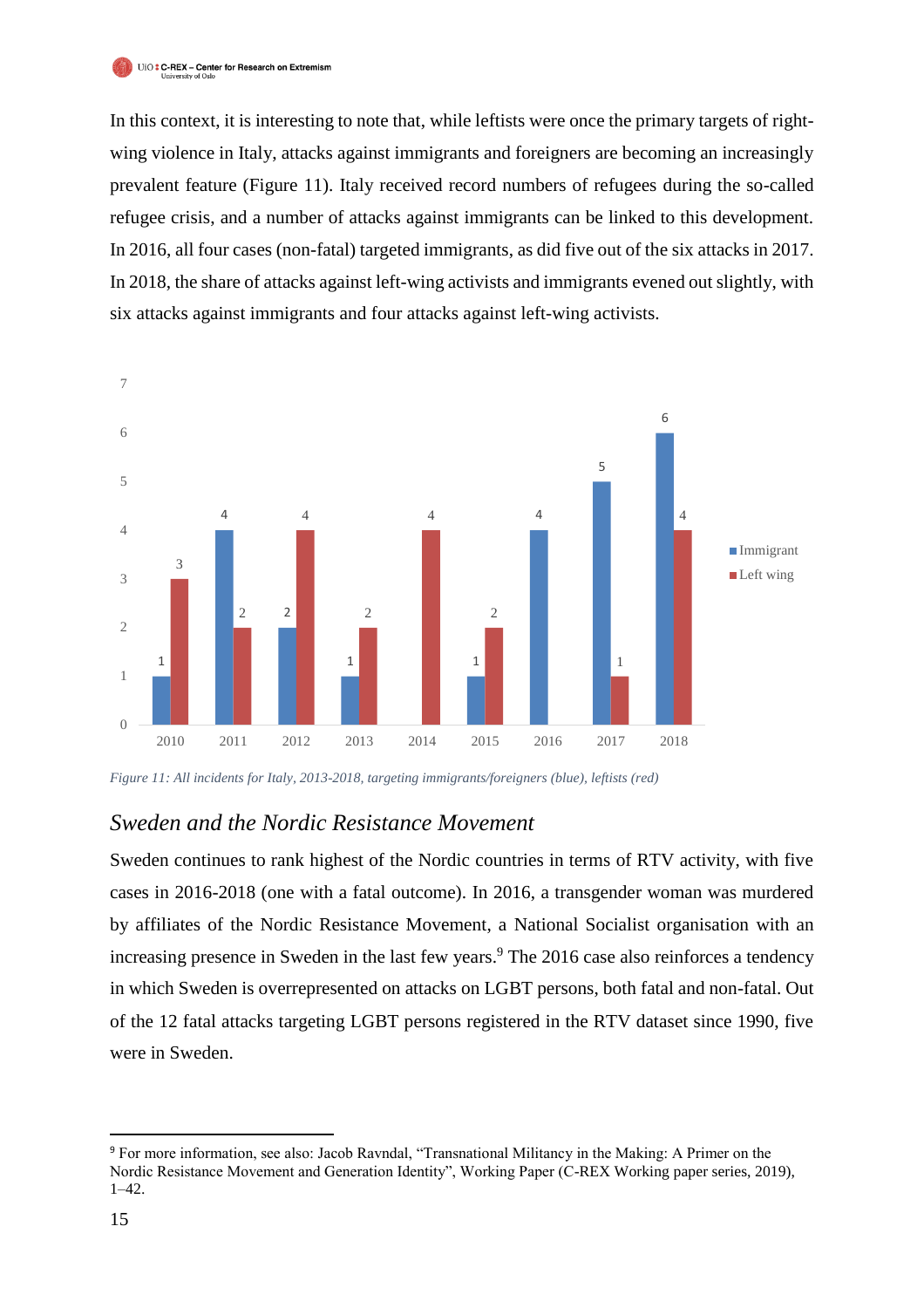In this context, it is interesting to note that, while leftists were once the primary targets of rightwing violence in Italy, attacks against immigrants and foreigners are becoming an increasingly prevalent feature (Figure 11). Italy received record numbers of refugees during the so-called refugee crisis, and a number of attacks against immigrants can be linked to this development. In 2016, all four cases (non-fatal) targeted immigrants, as did five out of the six attacks in 2017. In 2018, the share of attacks against left-wing activists and immigrants evened out slightly, with six attacks against immigrants and four attacks against left-wing activists.



*Figure 11: All incidents for Italy, 2013-2018, targeting immigrants/foreigners (blue), leftists (red)*

#### *Sweden and the Nordic Resistance Movement*

Sweden continues to rank highest of the Nordic countries in terms of RTV activity, with five cases in 2016-2018 (one with a fatal outcome). In 2016, a transgender woman was murdered by affiliates of the Nordic Resistance Movement, a National Socialist organisation with an increasing presence in Sweden in the last few years. <sup>9</sup> The 2016 case also reinforces a tendency in which Sweden is overrepresented on attacks on LGBT persons, both fatal and non-fatal. Out of the 12 fatal attacks targeting LGBT persons registered in the RTV dataset since 1990, five were in Sweden.

j

<sup>9</sup> For more information, see also: Jacob Ravndal, "Transnational Militancy in the Making: A Primer on the Nordic Resistance Movement and Generation Identity", Working Paper (C-REX Working paper series, 2019), 1–42.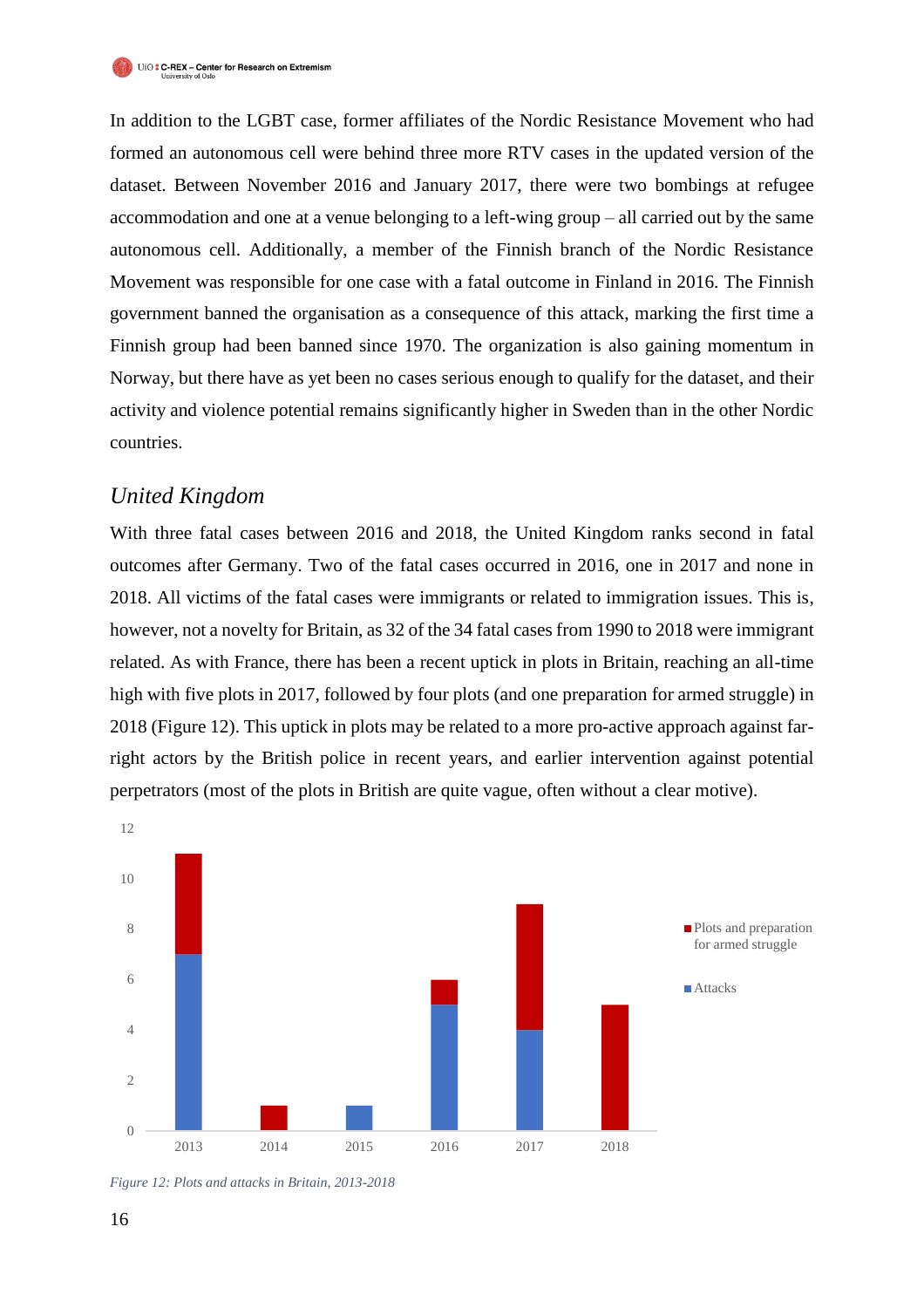In addition to the LGBT case, former affiliates of the Nordic Resistance Movement who had formed an autonomous cell were behind three more RTV cases in the updated version of the dataset. Between November 2016 and January 2017, there were two bombings at refugee accommodation and one at a venue belonging to a left-wing group – all carried out by the same autonomous cell. Additionally, a member of the Finnish branch of the Nordic Resistance Movement was responsible for one case with a fatal outcome in Finland in 2016. The Finnish government banned the organisation as a consequence of this attack, marking the first time a Finnish group had been banned since 1970. The organization is also gaining momentum in Norway, but there have as yet been no cases serious enough to qualify for the dataset, and their activity and violence potential remains significantly higher in Sweden than in the other Nordic countries.

#### *United Kingdom*

With three fatal cases between 2016 and 2018, the United Kingdom ranks second in fatal outcomes after Germany. Two of the fatal cases occurred in 2016, one in 2017 and none in 2018. All victims of the fatal cases were immigrants or related to immigration issues. This is, however, not a novelty for Britain, as 32 of the 34 fatal cases from 1990 to 2018 were immigrant related. As with France, there has been a recent uptick in plots in Britain, reaching an all-time high with five plots in 2017, followed by four plots (and one preparation for armed struggle) in 2018 (Figure 12). This uptick in plots may be related to a more pro-active approach against farright actors by the British police in recent years, and earlier intervention against potential perpetrators (most of the plots in British are quite vague, often without a clear motive).



*Figure 12: Plots and attacks in Britain, 2013-2018*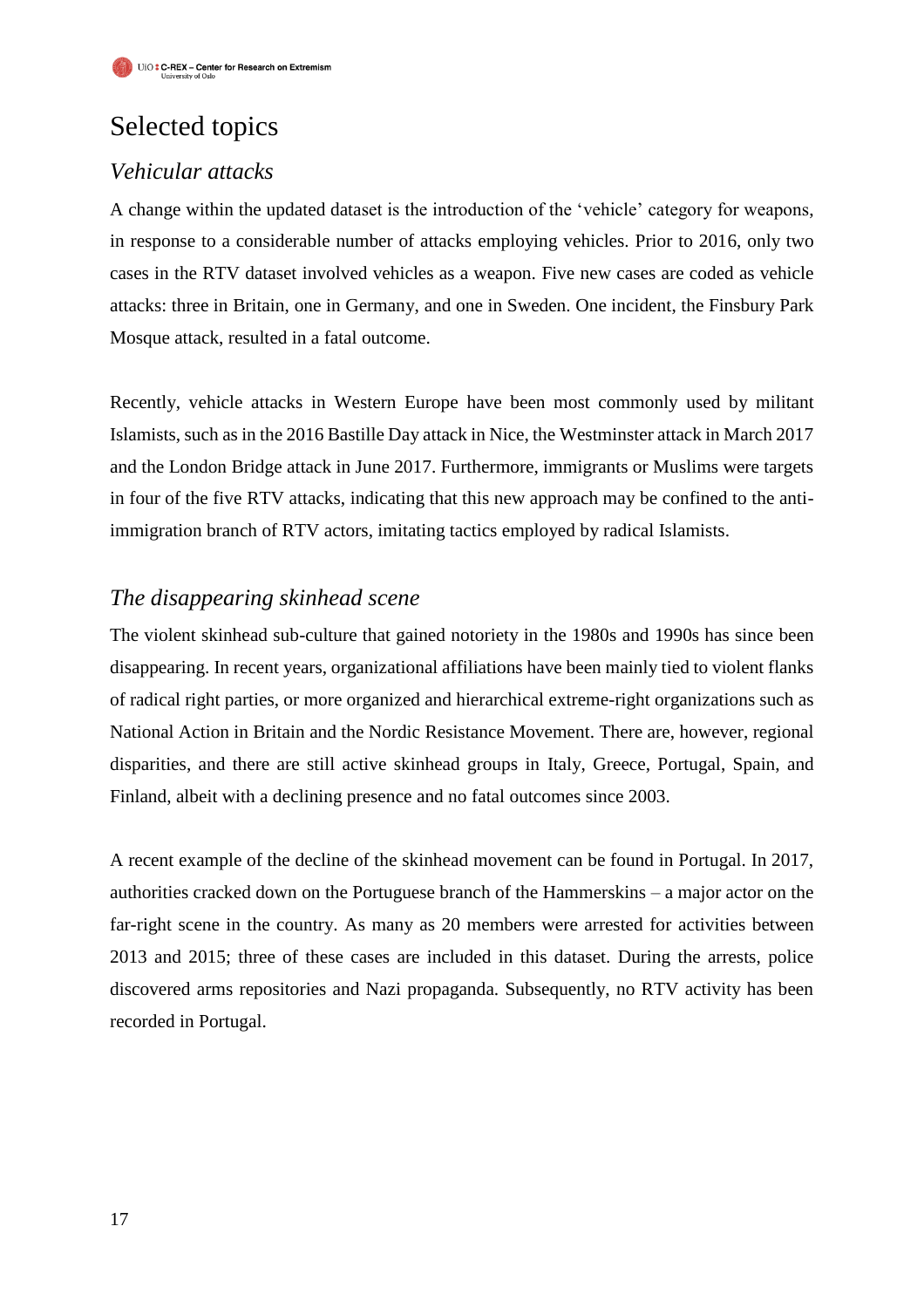# Selected topics

## *Vehicular attacks*

A change within the updated dataset is the introduction of the 'vehicle' category for weapons, in response to a considerable number of attacks employing vehicles. Prior to 2016, only two cases in the RTV dataset involved vehicles as a weapon. Five new cases are coded as vehicle attacks: three in Britain, one in Germany, and one in Sweden. One incident, the Finsbury Park Mosque attack, resulted in a fatal outcome.

Recently, vehicle attacks in Western Europe have been most commonly used by militant Islamists, such as in the 2016 Bastille Day attack in Nice, the Westminster attack in March 2017 and the London Bridge attack in June 2017. Furthermore, immigrants or Muslims were targets in four of the five RTV attacks, indicating that this new approach may be confined to the antiimmigration branch of RTV actors, imitating tactics employed by radical Islamists.

#### *The disappearing skinhead scene*

The violent skinhead sub-culture that gained notoriety in the 1980s and 1990s has since been disappearing. In recent years, organizational affiliations have been mainly tied to violent flanks of radical right parties, or more organized and hierarchical extreme-right organizations such as National Action in Britain and the Nordic Resistance Movement. There are, however, regional disparities, and there are still active skinhead groups in Italy, Greece, Portugal, Spain, and Finland, albeit with a declining presence and no fatal outcomes since 2003.

A recent example of the decline of the skinhead movement can be found in Portugal. In 2017, authorities cracked down on the Portuguese branch of the Hammerskins – a major actor on the far-right scene in the country. As many as 20 members were arrested for activities between 2013 and 2015; three of these cases are included in this dataset. During the arrests, police discovered arms repositories and Nazi propaganda. Subsequently, no RTV activity has been recorded in Portugal.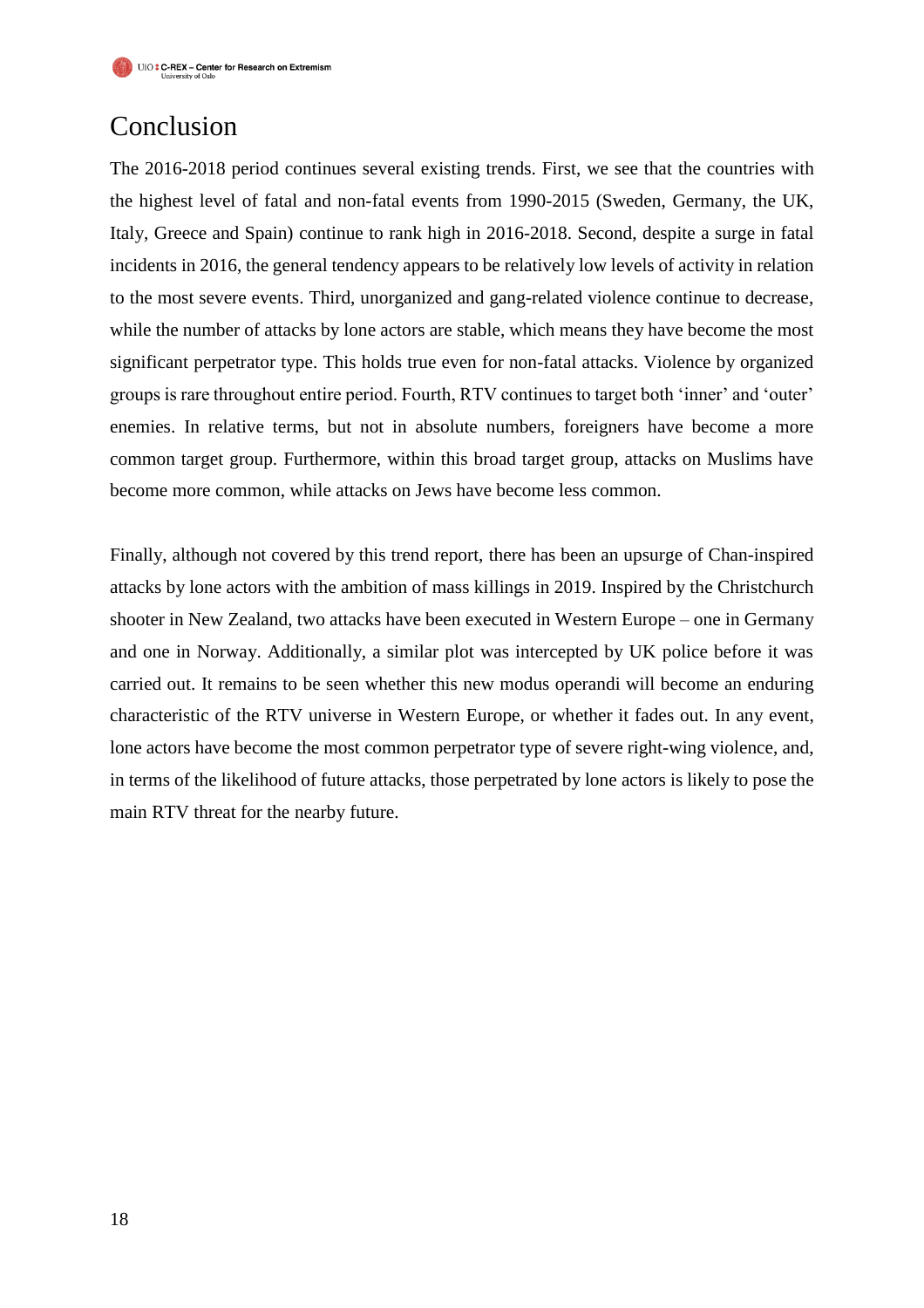## Conclusion

The 2016-2018 period continues several existing trends. First, we see that the countries with the highest level of fatal and non-fatal events from 1990-2015 (Sweden, Germany, the UK, Italy, Greece and Spain) continue to rank high in 2016-2018. Second, despite a surge in fatal incidents in 2016, the general tendency appears to be relatively low levels of activity in relation to the most severe events. Third, unorganized and gang-related violence continue to decrease, while the number of attacks by lone actors are stable, which means they have become the most significant perpetrator type. This holds true even for non-fatal attacks. Violence by organized groups is rare throughout entire period. Fourth, RTV continues to target both 'inner' and 'outer' enemies. In relative terms, but not in absolute numbers, foreigners have become a more common target group. Furthermore, within this broad target group, attacks on Muslims have become more common, while attacks on Jews have become less common.

Finally, although not covered by this trend report, there has been an upsurge of Chan-inspired attacks by lone actors with the ambition of mass killings in 2019. Inspired by the Christchurch shooter in New Zealand, two attacks have been executed in Western Europe – one in Germany and one in Norway. Additionally, a similar plot was intercepted by UK police before it was carried out. It remains to be seen whether this new modus operandi will become an enduring characteristic of the RTV universe in Western Europe, or whether it fades out. In any event, lone actors have become the most common perpetrator type of severe right-wing violence, and, in terms of the likelihood of future attacks, those perpetrated by lone actors is likely to pose the main RTV threat for the nearby future.